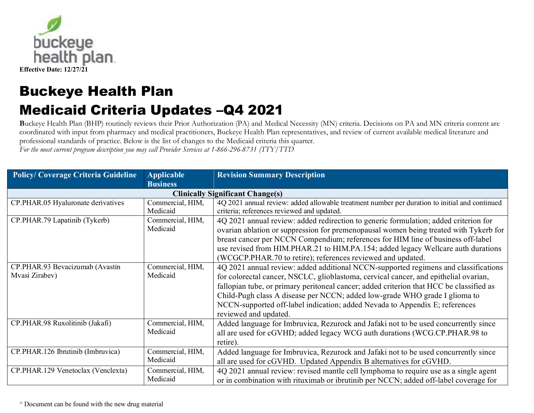

**B**uckeye Health Plan (BHP) routinely reviews their Prior Authorization (PA) and Medical Necessity (MN) criteria. Decisions on PA and MN criteria content are coordinated with input from pharmacy and medical practitioners, Buckeye Health Plan representatives, and review of current available medical literature and professional standards of practice. Below is the list of changes to the Medicaid criteria this quarter.

*For the most current program description you may call Provider Services at 1-866-296-8731 (TTY/TTD* 

| <b>Policy/Coverage Criteria Guideline</b> | <b>Applicable</b> | <b>Revision Summary Description</b>                                                           |
|-------------------------------------------|-------------------|-----------------------------------------------------------------------------------------------|
|                                           | <b>Business</b>   |                                                                                               |
|                                           |                   | <b>Clinically Significant Change(s)</b>                                                       |
| CP.PHAR.05 Hyaluronate derivatives        | Commercial, HIM,  | 4Q 2021 annual review: added allowable treatment number per duration to initial and continued |
|                                           | Medicaid          | criteria; references reviewed and updated.                                                    |
| CP.PHAR.79 Lapatinib (Tykerb)             | Commercial, HIM,  | 4Q 2021 annual review: added redirection to generic formulation; added criterion for          |
|                                           | Medicaid          | ovarian ablation or suppression for premenopausal women being treated with Tykerb for         |
|                                           |                   | breast cancer per NCCN Compendium; references for HIM line of business off-label              |
|                                           |                   | use revised from HIM.PHAR.21 to HIM.PA.154; added legacy Wellcare auth durations              |
|                                           |                   | (WCGCP.PHAR.70 to retire); references reviewed and updated.                                   |
| CP.PHAR.93 Bevacizumab (Avastin           | Commercial, HIM,  | 4Q 2021 annual review: added additional NCCN-supported regimens and classifications           |
| Mvasi Zirabev)                            | Medicaid          | for colorectal cancer, NSCLC, glioblastoma, cervical cancer, and epithelial ovarian,          |
|                                           |                   | fallopian tube, or primary peritoneal cancer; added criterion that HCC be classified as       |
|                                           |                   | Child-Pugh class A disease per NCCN; added low-grade WHO grade I glioma to                    |
|                                           |                   | NCCN-supported off-label indication; added Nevada to Appendix E; references                   |
|                                           |                   | reviewed and updated.                                                                         |
| CP.PHAR.98 Ruxolitinib (Jakafi)           | Commercial, HIM,  | Added language for Imbruvica, Rezurock and Jafaki not to be used concurrently since           |
|                                           | Medicaid          | all are used for cGVHD; added legacy WCG auth durations (WCG.CP.PHAR.98 to                    |
|                                           |                   | retire).                                                                                      |
| CP.PHAR.126 Ibrutinib (Imbruvica)         | Commercial, HIM,  | Added language for Imbruvica, Rezurock and Jafaki not to be used concurrently since           |
|                                           | Medicaid          | all are used for cGVHD. Updated Appendix B alternatives for cGVHD.                            |
| CP.PHAR.129 Venetoclax (Venclexta)        | Commercial, HIM,  | 4Q 2021 annual review: revised mantle cell lymphoma to require use as a single agent          |
|                                           | Medicaid          | or in combination with rituximab or ibrutinib per NCCN; added off-label coverage for          |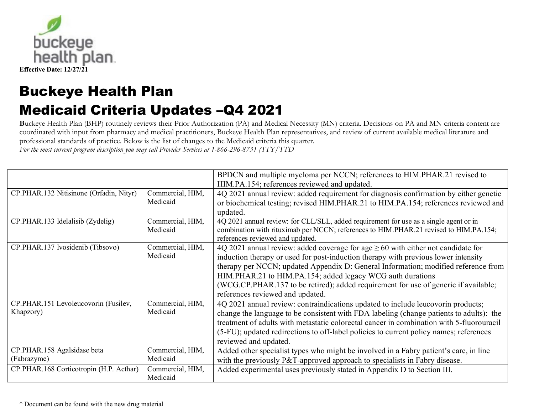

**B**uckeye Health Plan (BHP) routinely reviews their Prior Authorization (PA) and Medical Necessity (MN) criteria. Decisions on PA and MN criteria content are coordinated with input from pharmacy and medical practitioners, Buckeye Health Plan representatives, and review of current available medical literature and professional standards of practice. Below is the list of changes to the Medicaid criteria this quarter.

*For the most current program description you may call Provider Services at 1-866-296-8731 (TTY/TTD* 

|                                                   |                              | BPDCN and multiple myeloma per NCCN; references to HIM.PHAR.21 revised to<br>HIM.PA.154; references reviewed and updated.                                                                                                                                                                                                                                                                                                                                  |
|---------------------------------------------------|------------------------------|------------------------------------------------------------------------------------------------------------------------------------------------------------------------------------------------------------------------------------------------------------------------------------------------------------------------------------------------------------------------------------------------------------------------------------------------------------|
| CP.PHAR.132 Nitisinone (Orfadin, Nityr)           | Commercial, HIM,<br>Medicaid | 4Q 2021 annual review: added requirement for diagnosis confirmation by either genetic<br>or biochemical testing; revised HIM.PHAR.21 to HIM.PA.154; references reviewed and<br>updated.                                                                                                                                                                                                                                                                    |
| CP.PHAR.133 Idelalisib (Zydelig)                  | Commercial, HIM,<br>Medicaid | 4Q 2021 annual review: for CLL/SLL, added requirement for use as a single agent or in<br>combination with rituximab per NCCN; references to HIM.PHAR.21 revised to HIM.PA.154;<br>references reviewed and updated.                                                                                                                                                                                                                                         |
| CP.PHAR.137 Ivosidenib (Tibsovo)                  | Commercial, HIM,<br>Medicaid | 4Q 2021 annual review: added coverage for age $\geq 60$ with either not candidate for<br>induction therapy or used for post-induction therapy with previous lower intensity<br>therapy per NCCN; updated Appendix D: General Information; modified reference from<br>HIM.PHAR.21 to HIM.PA.154; added legacy WCG auth durations<br>(WCG.CP.PHAR.137 to be retired); added requirement for use of generic if available;<br>references reviewed and updated. |
| CP.PHAR.151 Levoleucovorin (Fusilev,<br>Khapzory) | Commercial, HIM,<br>Medicaid | 4Q 2021 annual review: contraindications updated to include leucovorin products;<br>change the language to be consistent with FDA labeling (change patients to adults): the<br>treatment of adults with metastatic colorectal cancer in combination with 5-fluorouracil<br>(5-FU); updated redirections to off-label policies to current policy names; references<br>reviewed and updated.                                                                 |
| CP.PHAR.158 Agalsidase beta<br>(Fabrazyme)        | Commercial, HIM,<br>Medicaid | Added other specialist types who might be involved in a Fabry patient's care, in line<br>with the previously P&T-approved approach to specialists in Fabry disease.                                                                                                                                                                                                                                                                                        |
| CP.PHAR.168 Corticotropin (H.P. Acthar)           | Commercial, HIM,<br>Medicaid | Added experimental uses previously stated in Appendix D to Section III.                                                                                                                                                                                                                                                                                                                                                                                    |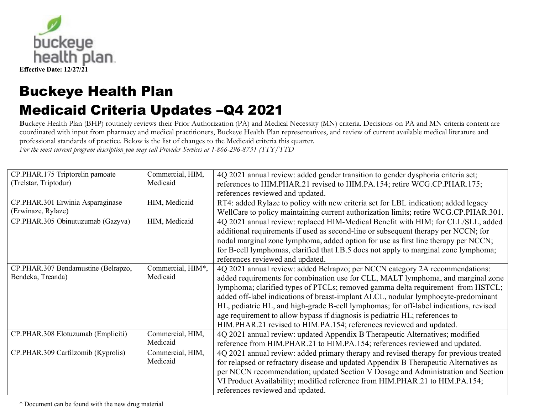

**B**uckeye Health Plan (BHP) routinely reviews their Prior Authorization (PA) and Medical Necessity (MN) criteria. Decisions on PA and MN criteria content are coordinated with input from pharmacy and medical practitioners, Buckeye Health Plan representatives, and review of current available medical literature and professional standards of practice. Below is the list of changes to the Medicaid criteria this quarter.

*For the most current program description you may call Provider Services at 1-866-296-8731 (TTY/TTD* 

| CP.PHAR.175 Triptorelin pamoate     | Commercial, HIM,  | 4Q 2021 annual review: added gender transition to gender dysphoria criteria set;      |
|-------------------------------------|-------------------|---------------------------------------------------------------------------------------|
| (Trelstar, Triptodur)               | Medicaid          | references to HIM.PHAR.21 revised to HIM.PA.154; retire WCG.CP.PHAR.175;              |
|                                     |                   | references reviewed and updated.                                                      |
| CP.PHAR.301 Erwinia Asparaginase    | HIM, Medicaid     | RT4: added Rylaze to policy with new criteria set for LBL indication; added legacy    |
| (Erwinaze, Rylaze)                  |                   | WellCare to policy maintaining current authorization limits; retire WCG.CP.PHAR.301.  |
| CP.PHAR.305 Obinutuzumab (Gazyva)   | HIM, Medicaid     | 4Q 2021 annual review: replaced HIM-Medical Benefit with HIM; for CLL/SLL, added      |
|                                     |                   | additional requirements if used as second-line or subsequent therapy per NCCN; for    |
|                                     |                   | nodal marginal zone lymphoma, added option for use as first line therapy per NCCN;    |
|                                     |                   | for B-cell lymphomas, clarified that I.B.5 does not apply to marginal zone lymphoma;  |
|                                     |                   | references reviewed and updated.                                                      |
| CP.PHAR.307 Bendamustine (Belrapzo, | Commercial, HIM*, | 4Q 2021 annual review: added Belrapzo; per NCCN category 2A recommendations:          |
| Bendeka, Treanda)                   | Medicaid          | added requirements for combination use for CLL, MALT lymphoma, and marginal zone      |
|                                     |                   | lymphoma; clarified types of PTCLs; removed gamma delta requirement from HSTCL;       |
|                                     |                   | added off-label indications of breast-implant ALCL, nodular lymphocyte-predominant    |
|                                     |                   | HL, pediatric HL, and high-grade B-cell lymphomas; for off-label indications, revised |
|                                     |                   | age requirement to allow bypass if diagnosis is pediatric HL; references to           |
|                                     |                   | HIM.PHAR.21 revised to HIM.PA.154; references reviewed and updated.                   |
| CP.PHAR.308 Elotuzumab (Empliciti)  | Commercial, HIM,  | 4Q 2021 annual review: updated Appendix B Therapeutic Alternatives; modified          |
|                                     | Medicaid          | reference from HIM.PHAR.21 to HIM.PA.154; references reviewed and updated.            |
| CP.PHAR.309 Carfilzomib (Kyprolis)  | Commercial, HIM,  | 4Q 2021 annual review: added primary therapy and revised therapy for previous treated |
|                                     | Medicaid          | for relapsed or refractory disease and updated Appendix B Therapeutic Alternatives as |
|                                     |                   | per NCCN recommendation; updated Section V Dosage and Administration and Section      |
|                                     |                   | VI Product Availability; modified reference from HIM.PHAR.21 to HIM.PA.154;           |
|                                     |                   | references reviewed and updated.                                                      |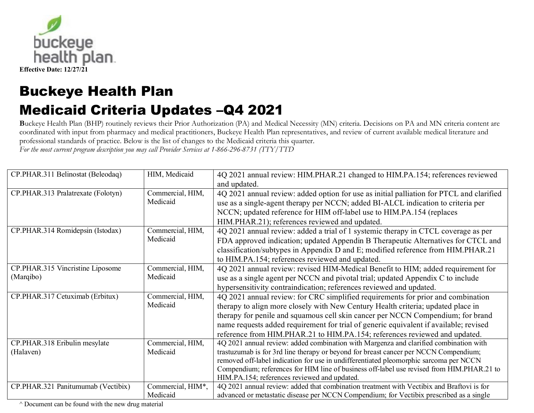

**B**uckeye Health Plan (BHP) routinely reviews their Prior Authorization (PA) and Medical Necessity (MN) criteria. Decisions on PA and MN criteria content are coordinated with input from pharmacy and medical practitioners, Buckeye Health Plan representatives, and review of current available medical literature and professional standards of practice. Below is the list of changes to the Medicaid criteria this quarter.

*For the most current program description you may call Provider Services at 1-866-296-8731 (TTY/TTD* 

| CP.PHAR.311 Belinostat (Beleodaq)  | HIM, Medicaid     | 4Q 2021 annual review: HIM.PHAR.21 changed to HIM.PA.154; references reviewed             |
|------------------------------------|-------------------|-------------------------------------------------------------------------------------------|
|                                    |                   | and updated.                                                                              |
| CP.PHAR.313 Pralatrexate (Folotyn) | Commercial, HIM,  | 4Q 2021 annual review: added option for use as initial palliation for PTCL and clarified  |
|                                    | Medicaid          | use as a single-agent therapy per NCCN; added BI-ALCL indication to criteria per          |
|                                    |                   | NCCN; updated reference for HIM off-label use to HIM.PA.154 (replaces                     |
|                                    |                   | HIM.PHAR.21); references reviewed and updated.                                            |
| CP.PHAR.314 Romidepsin (Istodax)   | Commercial, HIM,  | 4Q 2021 annual review: added a trial of 1 systemic therapy in CTCL coverage as per        |
|                                    | Medicaid          | FDA approved indication; updated Appendin B Therapeutic Alternatives for CTCL and         |
|                                    |                   | classification/subtypes in Appendix D and E; modified reference from HIM.PHAR.21          |
|                                    |                   | to HIM.PA.154; references reviewed and updated.                                           |
| CP.PHAR.315 Vincristine Liposome   | Commercial, HIM,  | 4Q 2021 annual review: revised HIM-Medical Benefit to HIM; added requirement for          |
| (Marqibo)                          | Medicaid          | use as a single agent per NCCN and pivotal trial; updated Appendix C to include           |
|                                    |                   | hypersensitivity contraindication; references reviewed and updated.                       |
| CP.PHAR.317 Cetuximab (Erbitux)    | Commercial, HIM,  | 4Q 2021 annual review: for CRC simplified requirements for prior and combination          |
|                                    | Medicaid          | therapy to align more closely with New Century Health criteria; updated place in          |
|                                    |                   | therapy for penile and squamous cell skin cancer per NCCN Compendium; for brand           |
|                                    |                   | name requests added requirement for trial of generic equivalent if available; revised     |
|                                    |                   | reference from HIM.PHAR.21 to HIM.PA.154; references reviewed and updated.                |
| CP.PHAR.318 Eribulin mesylate      | Commercial, HIM,  | 4Q 2021 annual review: added combination with Margenza and clarified combination with     |
| (Halaven)                          | Medicaid          | trastuzumab is for 3rd line therapy or beyond for breast cancer per NCCN Compendium;      |
|                                    |                   | removed off-label indication for use in undifferentiated pleomorphic sarcoma per NCCN     |
|                                    |                   | Compendium; references for HIM line of business off-label use revised from HIM.PHAR.21 to |
|                                    |                   | HIM.PA.154; references reviewed and updated.                                              |
| CP.PHAR.321 Panitumumab (Vectibix) | Commercial, HIM*, | 4Q 2021 annual review: added that combination treatment with Vectibix and Braftovi is for |
|                                    | Medicaid          | advanced or metastatic disease per NCCN Compendium; for Vectibix prescribed as a single   |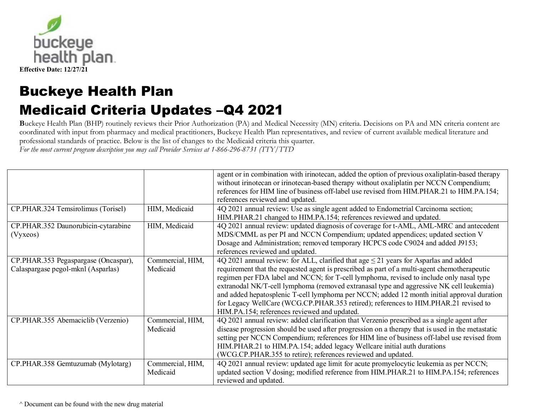

**B**uckeye Health Plan (BHP) routinely reviews their Prior Authorization (PA) and Medical Necessity (MN) criteria. Decisions on PA and MN criteria content are coordinated with input from pharmacy and medical practitioners, Buckeye Health Plan representatives, and review of current available medical literature and professional standards of practice. Below is the list of changes to the Medicaid criteria this quarter.

*For the most current program description you may call Provider Services at 1-866-296-8731 (TTY/TTD* 

|                                                                            |                              | agent or in combination with irinotecan, added the option of previous oxaliplatin-based therapy<br>without irinotecan or irinotecan-based therapy without oxaliplatin per NCCN Compendium;<br>references for HIM line of business off-label use revised from HIM.PHAR.21 to HIM.PA.154;<br>references reviewed and updated.                                                                                                                                                                                                                                                                                          |
|----------------------------------------------------------------------------|------------------------------|----------------------------------------------------------------------------------------------------------------------------------------------------------------------------------------------------------------------------------------------------------------------------------------------------------------------------------------------------------------------------------------------------------------------------------------------------------------------------------------------------------------------------------------------------------------------------------------------------------------------|
| CP.PHAR.324 Temsirolimus (Torisel)                                         | HIM, Medicaid                | 4Q 2021 annual review: Use as single agent added to Endometrial Carcinoma section;<br>HIM.PHAR.21 changed to HIM.PA.154; references reviewed and updated.                                                                                                                                                                                                                                                                                                                                                                                                                                                            |
| CP.PHAR.352 Daunorubicin-cytarabine<br>(Vyxeos)                            | HIM, Medicaid                | 4Q 2021 annual review: updated diagnosis of coverage for t-AML, AML-MRC and antecedent<br>MDS/CMML as per PI and NCCN Compendium; updated appendices; updated section V<br>Dosage and Administration; removed temporary HCPCS code C9024 and added J9153;<br>references reviewed and updated.                                                                                                                                                                                                                                                                                                                        |
| CP.PHAR.353 Pegaspargase (Oncaspar),<br>Calaspargase pegol-mknl (Asparlas) | Commercial, HIM,<br>Medicaid | 4Q 2021 annual review: for ALL, clarified that age $\leq$ 21 years for Asparlas and added<br>requirement that the requested agent is prescribed as part of a multi-agent chemotherapeutic<br>regimen per FDA label and NCCN; for T-cell lymphoma, revised to include only nasal type<br>extranodal NK/T-cell lymphoma (removed extranasal type and aggressive NK cell leukemia)<br>and added hepatosplenic T-cell lymphoma per NCCN; added 12 month initial approval duration<br>for Legacy WellCare (WCG.CP.PHAR.353 retired); references to HIM.PHAR.21 revised to<br>HIM.PA.154; references reviewed and updated. |
| CP.PHAR.355 Abemaciclib (Verzenio)                                         | Commercial, HIM,<br>Medicaid | 4Q 2021 annual review: added clarification that Verzenio prescribed as a single agent after<br>disease progression should be used after progression on a therapy that is used in the metastatic<br>setting per NCCN Compendium; references for HIM line of business off-label use revised from<br>HIM.PHAR.21 to HIM.PA.154; added legacy Wellcare initial auth durations<br>(WCG.CP.PHAR.355 to retire); references reviewed and updated.                                                                                                                                                                           |
| CP.PHAR.358 Gemtuzumab (Mylotarg)                                          | Commercial, HIM,<br>Medicaid | 4Q 2021 annual review: updated age limit for acute promyelocytic leukemia as per NCCN;<br>updated section V dosing; modified reference from HIM.PHAR.21 to HIM.PA.154; references<br>reviewed and updated.                                                                                                                                                                                                                                                                                                                                                                                                           |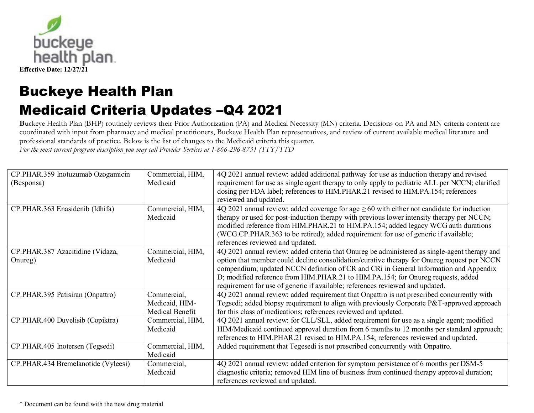

**B**uckeye Health Plan (BHP) routinely reviews their Prior Authorization (PA) and Medical Necessity (MN) criteria. Decisions on PA and MN criteria content are coordinated with input from pharmacy and medical practitioners, Buckeye Health Plan representatives, and review of current available medical literature and professional standards of practice. Below is the list of changes to the Medicaid criteria this quarter.

*For the most current program description you may call Provider Services at 1-866-296-8731 (TTY/TTD* 

| CP.PHAR.359 Inotuzumab Ozogamicin<br>(Besponsa) | Commercial, HIM,<br>Medicaid                     | 4Q 2021 annual review: added additional pathway for use as induction therapy and revised<br>requirement for use as single agent therapy to only apply to pediatric ALL per NCCN; clarified<br>dosing per FDA label; references to HIM.PHAR.21 revised to HIM.PA.154; references<br>reviewed and updated.                                                                                                                                                   |
|-------------------------------------------------|--------------------------------------------------|------------------------------------------------------------------------------------------------------------------------------------------------------------------------------------------------------------------------------------------------------------------------------------------------------------------------------------------------------------------------------------------------------------------------------------------------------------|
| CP.PHAR.363 Enasidenib (Idhifa)                 | Commercial, HIM,<br>Medicaid                     | 4Q 2021 annual review: added coverage for age $\geq 60$ with either not candidate for induction<br>therapy or used for post-induction therapy with previous lower intensity therapy per NCCN;<br>modified reference from HIM.PHAR.21 to HIM.PA.154; added legacy WCG auth durations<br>(WCG.CP.PHAR.363 to be retired); added requirement for use of generic if available;<br>references reviewed and updated.                                             |
| CP.PHAR.387 Azacitidine (Vidaza,<br>Onureg)     | Commercial, HIM,<br>Medicaid                     | 4Q 2021 annual review: added criteria that Onureg be administered as single-agent therapy and<br>option that member could decline consolidation/curative therapy for Onureg request per NCCN<br>compendium; updated NCCN definition of CR and CRi in General Information and Appendix<br>D; modified reference from HIM.PHAR.21 to HIM.PA.154; for Onureg requests, added<br>requirement for use of generic if available; references reviewed and updated. |
| CP.PHAR.395 Patisiran (Onpattro)                | Commercial,<br>Medicaid, HIM-<br>Medical Benefit | 4Q 2021 annual review: added requirement that Onpattro is not prescribed concurrently with<br>Tegsedi; added biopsy requirement to align with previously Corporate P&T-approved approach<br>for this class of medications; references reviewed and updated.                                                                                                                                                                                                |
| CP.PHAR.400 Duvelisib (Copiktra)                | Commercial, HIM,<br>Medicaid                     | 4Q 2021 annual review: for CLL/SLL, added requirement for use as a single agent; modified<br>HIM/Medicaid continued approval duration from 6 months to 12 months per standard approach;<br>references to HIM.PHAR.21 revised to HIM.PA.154; references reviewed and updated.                                                                                                                                                                               |
| CP.PHAR.405 Inotersen (Tegsedi)                 | Commercial, HIM,<br>Medicaid                     | Added requirement that Tegesedi is not prescribed concurrently with Onpattro.                                                                                                                                                                                                                                                                                                                                                                              |
| CP.PHAR.434 Bremelanotide (Vyleesi)             | Commercial,<br>Medicaid                          | 4Q 2021 annual review: added criterion for symptom persistence of 6 months per DSM-5<br>diagnostic criteria; removed HIM line of business from continued therapy approval duration;<br>references reviewed and updated.                                                                                                                                                                                                                                    |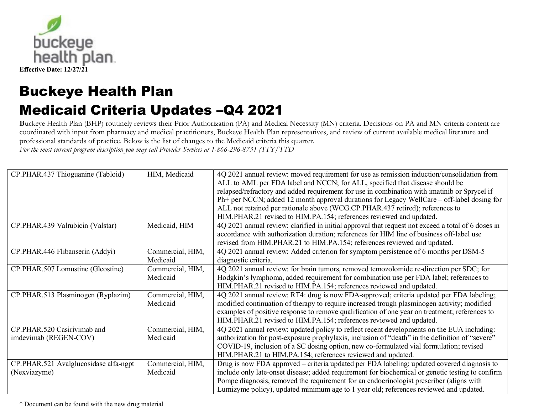

**B**uckeye Health Plan (BHP) routinely reviews their Prior Authorization (PA) and Medical Necessity (MN) criteria. Decisions on PA and MN criteria content are coordinated with input from pharmacy and medical practitioners, Buckeye Health Plan representatives, and review of current available medical literature and professional standards of practice. Below is the list of changes to the Medicaid criteria this quarter.

*For the most current program description you may call Provider Services at 1-866-296-8731 (TTY/TTD* 

| CP.PHAR.437 Thioguanine (Tabloid)     | HIM, Medicaid    | 4Q 2021 annual review: moved requirement for use as remission induction/consolidation from<br>ALL to AML per FDA label and NCCN; for ALL, specified that disease should be<br>relapsed/refractory and added requirement for use in combination with imatinib or Sprycel if<br>Ph+ per NCCN; added 12 month approval durations for Legacy WellCare – off-label dosing for<br>ALL not retained per rationale above (WCG.CP.PHAR.437 retired); references to<br>HIM.PHAR.21 revised to HIM.PA.154; references reviewed and updated. |
|---------------------------------------|------------------|----------------------------------------------------------------------------------------------------------------------------------------------------------------------------------------------------------------------------------------------------------------------------------------------------------------------------------------------------------------------------------------------------------------------------------------------------------------------------------------------------------------------------------|
| CP.PHAR.439 Valrubicin (Valstar)      | Medicaid, HIM    | 4Q 2021 annual review: clarified in initial approval that request not exceed a total of 6 doses in<br>accordance with authorization duration; references for HIM line of business off-label use<br>revised from HIM.PHAR.21 to HIM.PA.154; references reviewed and updated.                                                                                                                                                                                                                                                      |
| CP.PHAR.446 Flibanserin (Addyi)       | Commercial, HIM, | 4Q 2021 annual review: Added criterion for symptom persistence of 6 months per DSM-5                                                                                                                                                                                                                                                                                                                                                                                                                                             |
|                                       | Medicaid         | diagnostic criteria.                                                                                                                                                                                                                                                                                                                                                                                                                                                                                                             |
| CP.PHAR.507 Lomustine (Gleostine)     | Commercial, HIM, | 4Q 2021 annual review: for brain tumors, removed temozolomide re-direction per SDC; for                                                                                                                                                                                                                                                                                                                                                                                                                                          |
|                                       | Medicaid         | Hodgkin's lymphoma, added requirement for combination use per FDA label; references to                                                                                                                                                                                                                                                                                                                                                                                                                                           |
|                                       |                  | HIM.PHAR.21 revised to HIM.PA.154; references reviewed and updated.                                                                                                                                                                                                                                                                                                                                                                                                                                                              |
| CP.PHAR.513 Plasminogen (Ryplazim)    | Commercial, HIM, | 4Q 2021 annual review: RT4: drug is now FDA-approved; criteria updated per FDA labeling;                                                                                                                                                                                                                                                                                                                                                                                                                                         |
|                                       | Medicaid         | modified continuation of therapy to require increased trough plasminogen activity; modified                                                                                                                                                                                                                                                                                                                                                                                                                                      |
|                                       |                  | examples of positive response to remove qualification of one year on treatment; references to                                                                                                                                                                                                                                                                                                                                                                                                                                    |
|                                       |                  | HIM.PHAR.21 revised to HIM.PA.154; references reviewed and updated.                                                                                                                                                                                                                                                                                                                                                                                                                                                              |
| CP.PHAR.520 Casirivimab and           | Commercial, HIM, | 4Q 2021 annual review: updated policy to reflect recent developments on the EUA including:                                                                                                                                                                                                                                                                                                                                                                                                                                       |
| imdevimab (REGEN-COV)                 | Medicaid         | authorization for post-exposure prophylaxis, inclusion of "death" in the definition of "severe"                                                                                                                                                                                                                                                                                                                                                                                                                                  |
|                                       |                  | COVID-19, inclusion of a SC dosing option, new co-formulated vial formulation; revised                                                                                                                                                                                                                                                                                                                                                                                                                                           |
|                                       |                  | HIM.PHAR.21 to HIM.PA.154; references reviewed and updated.                                                                                                                                                                                                                                                                                                                                                                                                                                                                      |
| CP.PHAR.521 Avalglucosidase alfa-ngpt | Commercial, HIM, | Drug is now FDA approved – criteria updated per FDA labeling: updated covered diagnosis to                                                                                                                                                                                                                                                                                                                                                                                                                                       |
| (Nexviazyme)                          | Medicaid         | include only late-onset disease; added requirement for biochemical or genetic testing to confirm                                                                                                                                                                                                                                                                                                                                                                                                                                 |
|                                       |                  | Pompe diagnosis, removed the requirement for an endocrinologist prescriber (aligns with                                                                                                                                                                                                                                                                                                                                                                                                                                          |
|                                       |                  | Lumizyme policy), updated minimum age to 1 year old; references reviewed and updated.                                                                                                                                                                                                                                                                                                                                                                                                                                            |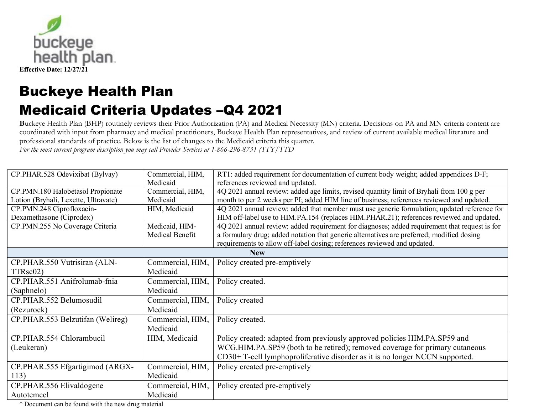

**B**uckeye Health Plan (BHP) routinely reviews their Prior Authorization (PA) and Medical Necessity (MN) criteria. Decisions on PA and MN criteria content are coordinated with input from pharmacy and medical practitioners, Buckeye Health Plan representatives, and review of current available medical literature and professional standards of practice. Below is the list of changes to the Medicaid criteria this quarter.

*For the most current program description you may call Provider Services at 1-866-296-8731 (TTY/TTD* 

| CP.PHAR.528 Odevixibat (Bylvay)      | Commercial, HIM, | RT1: added requirement for documentation of current body weight; added appendices D-F;        |
|--------------------------------------|------------------|-----------------------------------------------------------------------------------------------|
|                                      | Medicaid         | references reviewed and updated.                                                              |
| CP.PMN.180 Halobetasol Propionate    | Commercial, HIM, | 4Q 2021 annual review: added age limits, revised quantity limit of Bryhali from 100 g per     |
| Lotion (Bryhali, Lexette, Ultravate) | Medicaid         | month to per 2 weeks per PI; added HIM line of business; references reviewed and updated.     |
| CP.PMN.248 Ciprofloxacin-            | HIM, Medicaid    | 4Q 2021 annual review: added that member must use generic formulation; updated reference for  |
| Dexamethasone (Ciprodex)             |                  | HIM off-label use to HIM.PA.154 (replaces HIM.PHAR.21); references reviewed and updated.      |
| CP.PMN.255 No Coverage Criteria      | Medicaid, HIM-   | 4Q 2021 annual review: added requirement for diagnoses; added requirement that request is for |
|                                      | Medical Benefit  | a formulary drug; added notation that generic alternatives are preferred; modified dosing     |
|                                      |                  | requirements to allow off-label dosing; references reviewed and updated.                      |
|                                      |                  | <b>New</b>                                                                                    |
| CP.PHAR.550 Vutrisiran (ALN-         | Commercial, HIM, | Policy created pre-emptively                                                                  |
| TTRsc02)                             | Medicaid         |                                                                                               |
| CP.PHAR.551 Anifrolumab-fnia         | Commercial, HIM, | Policy created.                                                                               |
| (Saphnelo)                           | Medicaid         |                                                                                               |
| CP.PHAR.552 Belumosudil              | Commercial, HIM, | Policy created                                                                                |
| (Rezurock)                           | Medicaid         |                                                                                               |
| CP.PHAR.553 Belzutifan (Welireg)     | Commercial, HIM, | Policy created.                                                                               |
|                                      | Medicaid         |                                                                                               |
| CP.PHAR.554 Chlorambucil             | HIM, Medicaid    | Policy created: adapted from previously approved policies HIM.PA.SP59 and                     |
| (Leukeran)                           |                  | WCG.HIM.PA.SP59 (both to be retired); removed coverage for primary cutaneous                  |
|                                      |                  | CD30+T-cell lymphoproliferative disorder as it is no longer NCCN supported.                   |
| CP.PHAR.555 Efgartigimod (ARGX-      | Commercial, HIM, | Policy created pre-emptively                                                                  |
| 113)                                 | Medicaid         |                                                                                               |
| CP.PHAR.556 Elivaldogene             | Commercial, HIM, | Policy created pre-emptively                                                                  |
| Autotemcel                           | Medicaid         |                                                                                               |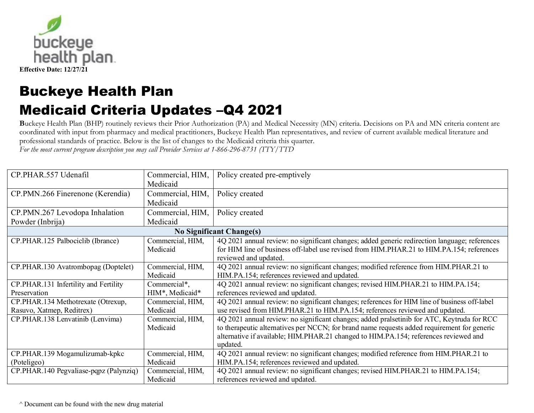

**B**uckeye Health Plan (BHP) routinely reviews their Prior Authorization (PA) and Medical Necessity (MN) criteria. Decisions on PA and MN criteria content are coordinated with input from pharmacy and medical practitioners, Buckeye Health Plan representatives, and review of current available medical literature and professional standards of practice. Below is the list of changes to the Medicaid criteria this quarter.

*For the most current program description you may call Provider Services at 1-866-296-8731 (TTY/TTD* 

| CP.PHAR.557 Udenafil                                            | Commercial, HIM,                | Policy created pre-emptively                                                                                                                                                                                                                                                                  |
|-----------------------------------------------------------------|---------------------------------|-----------------------------------------------------------------------------------------------------------------------------------------------------------------------------------------------------------------------------------------------------------------------------------------------|
|                                                                 | Medicaid                        |                                                                                                                                                                                                                                                                                               |
| CP.PMN.266 Finerenone (Kerendia)                                | Commercial, HIM,                | Policy created                                                                                                                                                                                                                                                                                |
|                                                                 | Medicaid                        |                                                                                                                                                                                                                                                                                               |
| CP.PMN.267 Levodopa Inhalation                                  | Commercial, HIM,                | Policy created                                                                                                                                                                                                                                                                                |
| Powder (Inbrija)                                                | Medicaid                        |                                                                                                                                                                                                                                                                                               |
|                                                                 |                                 | <b>No Significant Change(s)</b>                                                                                                                                                                                                                                                               |
| CP.PHAR.125 Palbociclib (Ibrance)                               | Commercial, HIM,<br>Medicaid    | 4Q 2021 annual review: no significant changes; added generic redirection language; references<br>for HIM line of business off-label use revised from HIM.PHAR.21 to HIM.PA.154; references<br>reviewed and updated.                                                                           |
| CP.PHAR.130 Avatrombopag (Doptelet)                             | Commercial, HIM,<br>Medicaid    | 4Q 2021 annual review: no significant changes; modified reference from HIM.PHAR.21 to<br>HIM.PA.154; references reviewed and updated.                                                                                                                                                         |
| CP.PHAR.131 Infertility and Fertility<br>Preservation           | Commercial*,<br>HIM*, Medicaid* | 4Q 2021 annual review: no significant changes; revised HIM.PHAR.21 to HIM.PA.154;<br>references reviewed and updated.                                                                                                                                                                         |
| CP.PHAR.134 Methotrexate (Otrexup,<br>Rasuvo, Xatmep, Reditrex) | Commercial, HIM,<br>Medicaid    | 4Q 2021 annual review: no significant changes; references for HIM line of business off-label<br>use revised from HIM.PHAR.21 to HIM.PA.154; references reviewed and updated.                                                                                                                  |
| CP.PHAR.138 Lenvatinib (Lenvima)                                | Commercial, HIM,<br>Medicaid    | 4Q 2021 annual review: no significant changes; added pralsetinib for ATC, Keytruda for RCC<br>to therapeutic alternatives per NCCN; for brand name requests added requirement for generic<br>alternative if available; HIM.PHAR.21 changed to HIM.PA.154; references reviewed and<br>updated. |
| CP.PHAR.139 Mogamulizumab-kpkc                                  | Commercial, HIM,                | 4Q 2021 annual review: no significant changes; modified reference from HIM.PHAR.21 to                                                                                                                                                                                                         |
| (Poteligeo)                                                     | Medicaid                        | HIM.PA.154; references reviewed and updated.                                                                                                                                                                                                                                                  |
| CP.PHAR.140 Pegvaliase-pqpz (Palynziq)                          | Commercial, HIM,                | 4Q 2021 annual review: no significant changes; revised HIM.PHAR.21 to HIM.PA.154;                                                                                                                                                                                                             |
|                                                                 | Medicaid                        | references reviewed and updated.                                                                                                                                                                                                                                                              |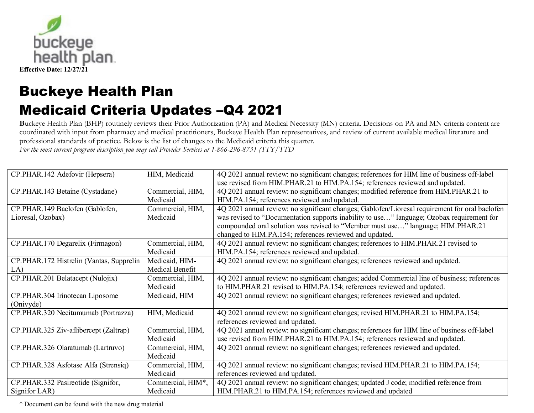

**B**uckeye Health Plan (BHP) routinely reviews their Prior Authorization (PA) and Medical Necessity (MN) criteria. Decisions on PA and MN criteria content are coordinated with input from pharmacy and medical practitioners, Buckeye Health Plan representatives, and review of current available medical literature and professional standards of practice. Below is the list of changes to the Medicaid criteria this quarter.

*For the most current program description you may call Provider Services at 1-866-296-8731 (TTY/TTD* 

| CP.PHAR.142 Adefovir (Hepsera)           | HIM, Medicaid     | 4Q 2021 annual review: no significant changes; references for HIM line of business off-label   |
|------------------------------------------|-------------------|------------------------------------------------------------------------------------------------|
|                                          |                   | use revised from HIM.PHAR.21 to HIM.PA.154; references reviewed and updated.                   |
| CP.PHAR.143 Betaine (Cystadane)          | Commercial, HIM,  | 4Q 2021 annual review: no significant changes; modified reference from HIM.PHAR.21 to          |
|                                          | Medicaid          | HIM.PA.154; references reviewed and updated.                                                   |
| CP.PHAR.149 Baclofen (Gablofen,          | Commercial, HIM,  | 4Q 2021 annual review: no significant changes; Gablofen/Lioresal requirement for oral baclofen |
| Lioresal, Ozobax)                        | Medicaid          | was revised to "Documentation supports inability to use" language; Ozobax requirement for      |
|                                          |                   | compounded oral solution was revised to "Member must use" language; HIM.PHAR.21                |
|                                          |                   | changed to HIM.PA.154; references reviewed and updated.                                        |
| CP.PHAR.170 Degarelix (Firmagon)         | Commercial, HIM,  | 4Q 2021 annual review: no significant changes; references to HIM.PHAR.21 revised to            |
|                                          | Medicaid          | HIM.PA.154; references reviewed and updated.                                                   |
| CP.PHAR.172 Histrelin (Vantas, Supprelin | Medicaid, HIM-    | 4Q 2021 annual review: no significant changes; references reviewed and updated.                |
| LA)                                      | Medical Benefit   |                                                                                                |
| CP.PHAR.201 Belatacept (Nulojix)         | Commercial, HIM,  | 4Q 2021 annual review: no significant changes; added Commercial line of business; references   |
|                                          | Medicaid          | to HIM.PHAR.21 revised to HIM.PA.154; references reviewed and updated.                         |
| CP.PHAR.304 Irinotecan Liposome          | Medicaid, HIM     | 4Q 2021 annual review: no significant changes; references reviewed and updated.                |
| (Onivyde)                                |                   |                                                                                                |
| CP.PHAR.320 Necitumumab (Portrazza)      | HIM, Medicaid     | 4Q 2021 annual review: no significant changes; revised HIM.PHAR.21 to HIM.PA.154;              |
|                                          |                   | references reviewed and updated.                                                               |
| CP.PHAR.325 Ziv-aflibercept (Zaltrap)    | Commercial, HIM,  | 4Q 2021 annual review: no significant changes; references for HIM line of business off-label   |
|                                          | Medicaid          | use revised from HIM.PHAR.21 to HIM.PA.154; references reviewed and updated.                   |
| CP.PHAR.326 Olaratumab (Lartruvo)        | Commercial, HIM,  | 4Q 2021 annual review: no significant changes; references reviewed and updated.                |
|                                          | Medicaid          |                                                                                                |
| CP.PHAR.328 Asfotase Alfa (Strensiq)     | Commercial, HIM,  | 4Q 2021 annual review: no significant changes; revised HIM.PHAR.21 to HIM.PA.154;              |
|                                          | Medicaid          | references reviewed and updated.                                                               |
| CP.PHAR.332 Pasireotide (Signifor,       | Commercial, HIM*, | 4Q 2021 annual review: no significant changes; updated J code; modified reference from         |
| Signifor LAR)                            | Medicaid          | HIM.PHAR.21 to HIM.PA.154; references reviewed and updated                                     |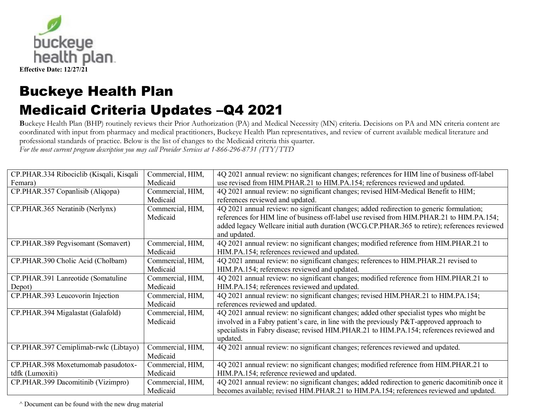

**B**uckeye Health Plan (BHP) routinely reviews their Prior Authorization (PA) and Medical Necessity (MN) criteria. Decisions on PA and MN criteria content are coordinated with input from pharmacy and medical practitioners, Buckeye Health Plan representatives, and review of current available medical literature and professional standards of practice. Below is the list of changes to the Medicaid criteria this quarter.

*For the most current program description you may call Provider Services at 1-866-296-8731 (TTY/TTD* 

| CP.PHAR.334 Ribociclib (Kisqali, Kisqali | Commercial, HIM, | 4Q 2021 annual review: no significant changes; references for HIM line of business off-label    |
|------------------------------------------|------------------|-------------------------------------------------------------------------------------------------|
| Femara)                                  | Medicaid         | use revised from HIM.PHAR.21 to HIM.PA.154; references reviewed and updated.                    |
| CP.PHAR.357 Copanlisib (Aliqopa)         | Commercial, HIM, | 4Q 2021 annual review: no significant changes; revised HIM-Medical Benefit to HIM;              |
|                                          | Medicaid         | references reviewed and updated.                                                                |
| CP.PHAR.365 Neratinib (Nerlynx)          | Commercial, HIM, | 4Q 2021 annual review: no significant changes; added redirection to generic formulation;        |
|                                          | Medicaid         | references for HIM line of business off-label use revised from HIM.PHAR.21 to HIM.PA.154;       |
|                                          |                  | added legacy Wellcare initial auth duration (WCG.CP.PHAR.365 to retire); references reviewed    |
|                                          |                  | and updated.                                                                                    |
| CP.PHAR.389 Pegvisomant (Somavert)       | Commercial, HIM, | 4Q 2021 annual review: no significant changes; modified reference from HIM.PHAR.21 to           |
|                                          | Medicaid         | HIM.PA.154; references reviewed and updated.                                                    |
| CP.PHAR.390 Cholic Acid (Cholbam)        | Commercial, HIM, | 4Q 2021 annual review: no significant changes; references to HIM.PHAR.21 revised to             |
|                                          | Medicaid         | HIM.PA.154; references reviewed and updated.                                                    |
| CP.PHAR.391 Lanreotide (Somatuline       | Commercial, HIM, | 4Q 2021 annual review: no significant changes; modified reference from HIM.PHAR.21 to           |
| Depot)                                   | Medicaid         | HIM.PA.154; references reviewed and updated.                                                    |
| CP.PHAR.393 Leucovorin Injection         | Commercial, HIM, | 4Q 2021 annual review: no significant changes; revised HIM.PHAR.21 to HIM.PA.154;               |
|                                          | Medicaid         | references reviewed and updated.                                                                |
| CP.PHAR.394 Migalastat (Galafold)        | Commercial, HIM, | 4Q 2021 annual review: no significant changes; added other specialist types who might be        |
|                                          | Medicaid         | involved in a Fabry patient's care, in line with the previously P&T-approved approach to        |
|                                          |                  | specialists in Fabry disease; revised HIM.PHAR.21 to HIM.PA.154; references reviewed and        |
|                                          |                  | updated.                                                                                        |
| CP.PHAR.397 Cemiplimab-rwlc (Libtayo)    | Commercial, HIM, | 4Q 2021 annual review: no significant changes; references reviewed and updated.                 |
|                                          | Medicaid         |                                                                                                 |
| CP.PHAR.398 Moxetumomab pasudotox-       | Commercial, HIM, | 4Q 2021 annual review: no significant changes; modified reference from HIM.PHAR.21 to           |
| tdfk (Lumoxiti)                          | Medicaid         | HIM.PA.154; reference reviewed and updated.                                                     |
| CP.PHAR.399 Dacomitinib (Vizimpro)       | Commercial, HIM, | 4Q 2021 annual review: no significant changes; added redirection to generic dacomitinib once it |
|                                          | Medicaid         | becomes available; revised HIM.PHAR.21 to HIM.PA.154; references reviewed and updated.          |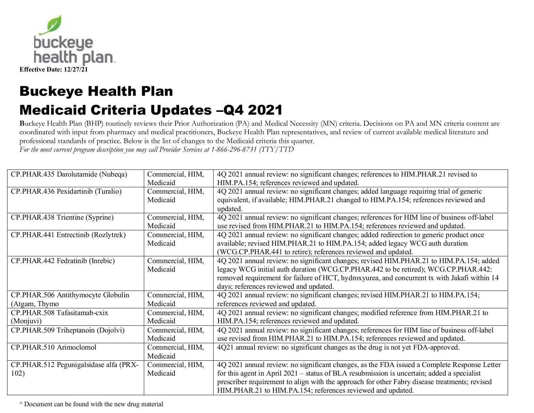

**B**uckeye Health Plan (BHP) routinely reviews their Prior Authorization (PA) and Medical Necessity (MN) criteria. Decisions on PA and MN criteria content are coordinated with input from pharmacy and medical practitioners, Buckeye Health Plan representatives, and review of current available medical literature and professional standards of practice. Below is the list of changes to the Medicaid criteria this quarter.

*For the most current program description you may call Provider Services at 1-866-296-8731 (TTY/TTD* 

| CP.PHAR.435 Darolutamide (Nubeqa)      | Commercial, HIM, | 4Q 2021 annual review: no significant changes; references to HIM.PHAR.21 revised to           |
|----------------------------------------|------------------|-----------------------------------------------------------------------------------------------|
|                                        | Medicaid         | HIM.PA.154; references reviewed and updated.                                                  |
| CP.PHAR.436 Pexidartinib (Turalio)     | Commercial, HIM, | 4Q 2021 annual review: no significant changes; added language requiring trial of generic      |
|                                        | Medicaid         | equivalent, if available; HIM.PHAR.21 changed to HIM.PA.154; references reviewed and          |
|                                        |                  | updated.                                                                                      |
| CP.PHAR.438 Trientine (Syprine)        | Commercial, HIM, | 4Q 2021 annual review: no significant changes; references for HIM line of business off-label  |
|                                        | Medicaid         | use revised from HIM.PHAR.21 to HIM.PA.154; references reviewed and updated.                  |
| CP.PHAR.441 Entrectinib (Rozlytrek)    | Commercial, HIM, | 4Q 2021 annual review: no significant changes; added redirection to generic product once      |
|                                        | Medicaid         | available; revised HIM.PHAR.21 to HIM.PA.154; added legacy WCG auth duration                  |
|                                        |                  | (WCG.CP.PHAR.441 to retire); references reviewed and updated.                                 |
| CP.PHAR.442 Fedratinib (Inrebic)       | Commercial, HIM, | 4Q 2021 annual review: no significant changes; revised HIM.PHAR.21 to HIM.PA.154; added       |
|                                        | Medicaid         | legacy WCG initial auth duration (WCG.CP.PHAR.442 to be retired); WCG.CP.PHAR.442:            |
|                                        |                  | removed requirement for failure of HCT, hydroxyurea, and concurrent tx with Jakafi within 14  |
|                                        |                  | days; references reviewed and updated.                                                        |
| CP.PHAR.506 Antithymocyte Globulin     | Commercial, HIM, | 4Q 2021 annual review: no significant changes; revised HIM.PHAR.21 to HIM.PA.154;             |
| (Atgam, Thymo                          | Medicaid         | references reviewed and updated.                                                              |
| CP.PHAR.508 Tafasitamab-cxix           | Commercial, HIM, | 4Q 2021 annual review: no significant changes; modified reference from HIM.PHAR.21 to         |
| (Monjuvi)                              | Medicaid         | HIM.PA.154; references reviewed and updated.                                                  |
| CP.PHAR.509 Triheptanoin (Dojolvi)     | Commercial, HIM, | 4Q 2021 annual review: no significant changes; references for HIM line of business off-label  |
|                                        | Medicaid         | use revised from HIM.PHAR.21 to HIM.PA.154; references reviewed and updated.                  |
| CP.PHAR.510 Arimoclomol                | Commercial, HIM, | 4Q21 annual review: no significant changes as the drug is not yet FDA-approved.               |
|                                        | Medicaid         |                                                                                               |
| CP.PHAR.512 Pegunigalsidase alfa (PRX- | Commercial, HIM, | 4Q 2021 annual review: no significant changes, as the FDA issued a Complete Response Letter   |
| 102)                                   | Medicaid         | for this agent in April 2021 – status of BLA resubmission is uncertain; added a specialist    |
|                                        |                  | prescriber requirement to align with the approach for other Fabry disease treatments; revised |
|                                        |                  | HIM.PHAR.21 to HIM.PA.154; references reviewed and updated.                                   |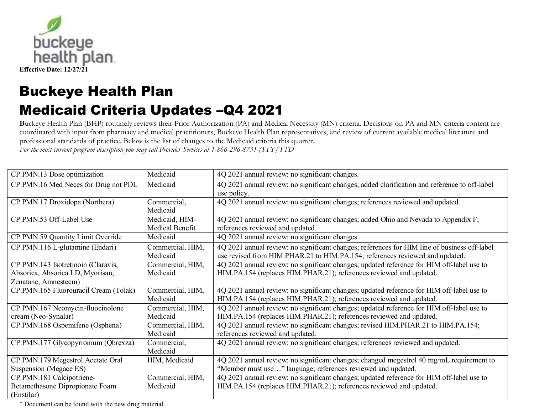

**B**uckeye Health Plan (BHP) routinely reviews their Prior Authorization (PA) and Medical Necessity (MN) criteria. Decisions on PA and MN criteria content are coordinated with input from pharmacy and medical practitioners, Buckeye Health Plan representatives, and review of current available medical literature and professional standards of practice. Below is the list of changes to the Medicaid criteria this quarter.

*For the most current program description you may call Provider Services at 1-866-296-8731 (TTY/TTD* 

| CP.PMN.13 Dose optimization           | Medicaid         | 4Q 2021 annual review: no significant changes.                                                |
|---------------------------------------|------------------|-----------------------------------------------------------------------------------------------|
| CP.PMN.16 Med Neces for Drug not PDL  | Medicaid         | 4Q 2021 annual review: no significant changes; added clarification and reference to off-label |
|                                       |                  | use policy.                                                                                   |
| CP.PMN.17 Droxidopa (Northera)        | Commercial,      | 4Q 2021 annual review: no significant changes; references reviewed and updated.               |
|                                       | Medicaid         |                                                                                               |
| CP.PMN.53 Off-Label Use               | Medicaid, HIM-   | 4Q 2021 annual review: no significant changes; added Ohio and Nevada to Appendix F;           |
|                                       | Medical Benefit  | references reviewed and updated.                                                              |
| CP.PMN.59 Quantity Limit Override     | Medicaid         | 4Q 2021 annual review: no significant changes.                                                |
| CP.PMN.116 L-glutamine (Endari)       | Commercial, HIM, | 4Q 2021 annual review: no significant changes; references for HIM line of business off-label  |
|                                       | Medicaid         | use revised from HIM.PHAR.21 to HIM.PA.154; references reviewed and updated.                  |
| CP.PMN.143 Isotretinoin (Claravis,    | Commercial, HIM, | 4Q 2021 annual review: no significant changes; updated reference for HIM off-label use to     |
| Absorica, Absorica LD, Myorisan,      | Medicaid         | HIM.PA.154 (replaces HIM.PHAR.21); references reviewed and updated.                           |
| Zenatane, Amnesteem)                  |                  |                                                                                               |
| CP.PMN.165 Fluorouracil Cream (Tolak) | Commercial, HIM, | 4Q 2021 annual review: no significant changes; updated reference for HIM off-label use to     |
|                                       | Medicaid         | HIM.PA.154 (replaces HIM.PHAR.21); references reviewed and updated.                           |
| CP.PMN.167 Neomycin-fluocinolone      | Commercial, HIM, | 4Q 2021 annual review: no significant changes; updated reference for HIM off-label use to     |
| cream (Neo-Synalar)                   | Medicaid         | HIM.PA.154 (replaces HIM.PHAR.21); references reviewed and updated.                           |
| CP.PMN.168 Ospemifene (Osphena)       | Commercial, HIM, | 4Q 2021 annual review: no significant changes; revised HIM.PHAR.21 to HIM.PA.154;             |
|                                       | Medicaid         | references reviewed and updated.                                                              |
| CP.PMN.177 Glycopyrronium (Qbrexza)   | Commercial,      | 4Q 2021 annual review: no significant changes; references reviewed and updated.               |
|                                       | Medicaid         |                                                                                               |
| CP.PMN.179 Megestrol Acetate Oral     | HIM, Medicaid    | 4Q 2021 annual review: no significant changes; changed megestrol 40 mg/mL requirement to      |
| Suspension (Megace ES)                |                  | "Member must use" language; references reviewed and updated.                                  |
| CP.PMN.181 Calcipotriene-             | Commercial, HIM, | 4Q 2021 annual review: no significant changes; updated reference for HIM off-label use to     |
| Betamethasone Dipropionate Foam       | Medicaid         | HIM.PA.154 (replaces HIM.PHAR.21); references reviewed and updated.                           |
| (Enstilar)                            |                  |                                                                                               |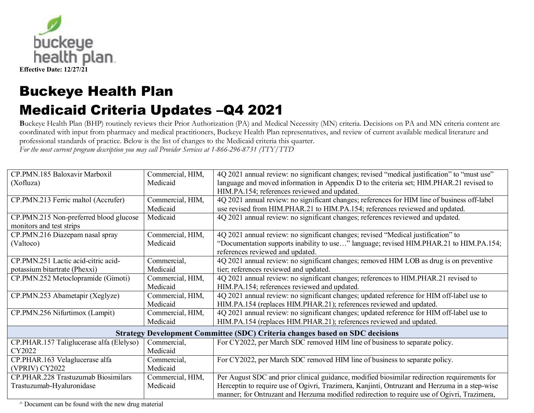

**B**uckeye Health Plan (BHP) routinely reviews their Prior Authorization (PA) and Medical Necessity (MN) criteria. Decisions on PA and MN criteria content are coordinated with input from pharmacy and medical practitioners, Buckeye Health Plan representatives, and review of current available medical literature and professional standards of practice. Below is the list of changes to the Medicaid criteria this quarter.

*For the most current program description you may call Provider Services at 1-866-296-8731 (TTY/TTD* 

| CP.PMN.185 Baloxavir Marboxil                                                       | Commercial, HIM, | 4Q 2021 annual review: no significant changes; revised "medical justification" to "must use"  |  |  |
|-------------------------------------------------------------------------------------|------------------|-----------------------------------------------------------------------------------------------|--|--|
| (Xofluza)                                                                           | Medicaid         | language and moved information in Appendix D to the criteria set; HIM.PHAR.21 revised to      |  |  |
|                                                                                     |                  | HIM.PA.154; references reviewed and updated.                                                  |  |  |
| CP.PMN.213 Ferric maltol (Accrufer)                                                 | Commercial, HIM, | 4Q 2021 annual review: no significant changes; references for HIM line of business off-label  |  |  |
|                                                                                     | Medicaid         | use revised from HIM.PHAR.21 to HIM.PA.154; references reviewed and updated.                  |  |  |
| CP.PMN.215 Non-preferred blood glucose                                              | Medicaid         | 4Q 2021 annual review: no significant changes; references reviewed and updated.               |  |  |
| monitors and test strips                                                            |                  |                                                                                               |  |  |
| CP.PMN.216 Diazepam nasal spray                                                     | Commercial, HIM, | 4Q 2021 annual review: no significant changes; revised "Medical justification" to             |  |  |
| (Valtoco)                                                                           | Medicaid         | "Documentation supports inability to use" language; revised HIM.PHAR.21 to HIM.PA.154;        |  |  |
|                                                                                     |                  | references reviewed and updated.                                                              |  |  |
| CP.PMN.251 Lactic acid-citric acid-                                                 | Commercial,      | 4Q 2021 annual review: no significant changes; removed HIM LOB as drug is on preventive       |  |  |
| potassium bitartrate (Phexxi)                                                       | Medicaid         | tier; references reviewed and updated.                                                        |  |  |
| CP.PMN.252 Metoclopramide (Gimoti)                                                  | Commercial, HIM, | 4Q 2021 annual review: no significant changes; references to HIM.PHAR.21 revised to           |  |  |
|                                                                                     | Medicaid         | HIM.PA.154; references reviewed and updated.                                                  |  |  |
| CP.PMN.253 Abametapir (Xeglyze)                                                     | Commercial, HIM, | 4Q 2021 annual review: no significant changes; updated reference for HIM off-label use to     |  |  |
|                                                                                     | Medicaid         | HIM.PA.154 (replaces HIM.PHAR.21); references reviewed and updated.                           |  |  |
| CP.PMN.256 Nifurtimox (Lampit)                                                      | Commercial, HIM, | 4Q 2021 annual review: no significant changes; updated reference for HIM off-label use to     |  |  |
|                                                                                     | Medicaid         | HIM.PA.154 (replaces HIM.PHAR.21); references reviewed and updated.                           |  |  |
| <b>Strategy Development Committee (SDC) Criteria changes based on SDC decisions</b> |                  |                                                                                               |  |  |
| CP.PHAR.157 Taliglucerase alfa (Elelyso)                                            | Commercial,      | For CY2022, per March SDC removed HIM line of business to separate policy.                    |  |  |
| CY2022                                                                              | Medicaid         |                                                                                               |  |  |
| CP.PHAR.163 Velaglucerase alfa                                                      | Commercial,      | For CY2022, per March SDC removed HIM line of business to separate policy.                    |  |  |
| (VPRIV) CY2022                                                                      | Medicaid         |                                                                                               |  |  |
| CP.PHAR.228 Trastuzumab Biosimilars                                                 | Commercial, HIM, | Per August SDC and prior clinical guidance, modified biosimilar redirection requirements for  |  |  |
| Trastuzumab-Hyaluronidase                                                           | Medicaid         | Herceptin to require use of Ogivri, Trazimera, Kanjinti, Ontruzant and Herzuma in a step-wise |  |  |
|                                                                                     |                  | manner; for Ontruzant and Herzuma modified redirection to require use of Ogivri, Trazimera,   |  |  |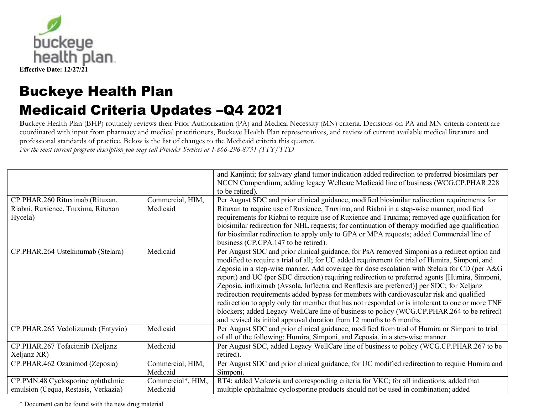

**B**uckeye Health Plan (BHP) routinely reviews their Prior Authorization (PA) and Medical Necessity (MN) criteria. Decisions on PA and MN criteria content are coordinated with input from pharmacy and medical practitioners, Buckeye Health Plan representatives, and review of current available medical literature and professional standards of practice. Below is the list of changes to the Medicaid criteria this quarter.

*For the most current program description you may call Provider Services at 1-866-296-8731 (TTY/TTD* 

|                                               |                              | and Kanjinti; for salivary gland tumor indication added redirection to preferred biosimilars per<br>NCCN Compendium; adding legacy Wellcare Medicaid line of business (WCG.CP.PHAR.228<br>to be retired). |
|-----------------------------------------------|------------------------------|-----------------------------------------------------------------------------------------------------------------------------------------------------------------------------------------------------------|
| CP.PHAR.260 Rituximab (Rituxan,               | Commercial, HIM,<br>Medicaid | Per August SDC and prior clinical guidance, modified biosimilar redirection requirements for                                                                                                              |
| Riabni, Ruxience, Truxima, Rituxan<br>Hycela) |                              | Rituxan to require use of Ruxience, Truxima, and Riabni in a step-wise manner; modified<br>requirements for Riabni to require use of Ruxience and Truxima; removed age qualification for                  |
|                                               |                              | biosimilar redirection for NHL requests; for continuation of therapy modified age qualification                                                                                                           |
|                                               |                              | for biosimilar redirection to apply only to GPA or MPA requests; added Commercial line of                                                                                                                 |
|                                               |                              | business (CP.CPA.147 to be retired).                                                                                                                                                                      |
| CP.PHAR.264 Ustekinumab (Stelara)             | Medicaid                     | Per August SDC and prior clinical guidance, for PsA removed Simponi as a redirect option and                                                                                                              |
|                                               |                              | modified to require a trial of all; for UC added requirement for trial of Humira, Simponi, and                                                                                                            |
|                                               |                              | Zeposia in a step-wise manner. Add coverage for dose escalation with Stelara for CD (per A&G                                                                                                              |
|                                               |                              | report) and UC (per SDC direction) requiring redirection to preferred agents [Humira, Simponi,                                                                                                            |
|                                               |                              | Zeposia, infliximab (Avsola, Inflectra and Renflexis are preferred)] per SDC; for Xeljanz                                                                                                                 |
|                                               |                              | redirection requirements added bypass for members with cardiovascular risk and qualified                                                                                                                  |
|                                               |                              | redirection to apply only for member that has not responded or is intolerant to one or more TNF                                                                                                           |
|                                               |                              | blockers; added Legacy WellCare line of business to policy (WCG.CP.PHAR.264 to be retired)                                                                                                                |
|                                               |                              | and revised its initial approval duration from 12 months to 6 months.                                                                                                                                     |
| CP.PHAR.265 Vedolizumab (Entyvio)             | Medicaid                     | Per August SDC and prior clinical guidance, modified from trial of Humira or Simponi to trial                                                                                                             |
|                                               |                              | of all of the following: Humira, Simponi, and Zeposia, in a step-wise manner.                                                                                                                             |
| CP.PHAR.267 Tofacitinib (Xeljanz              | Medicaid                     | Per August SDC, added Legacy WellCare line of business to policy (WCG.CP.PHAR.267 to be                                                                                                                   |
| Xeljanz XR)                                   |                              | retired).                                                                                                                                                                                                 |
| CP.PHAR.462 Ozanimod (Zeposia)                | Commercial, HIM,             | Per August SDC and prior clinical guidance, for UC modified redirection to require Humira and                                                                                                             |
|                                               | Medicaid                     | Simponi.                                                                                                                                                                                                  |
| CP.PMN.48 Cyclosporine ophthalmic             | Commercial*, HIM,            | RT4: added Verkazia and corresponding criteria for VKC; for all indications, added that                                                                                                                   |
| emulsion (Cequa, Restasis, Verkazia)          | Medicaid                     | multiple ophthalmic cyclosporine products should not be used in combination; added                                                                                                                        |